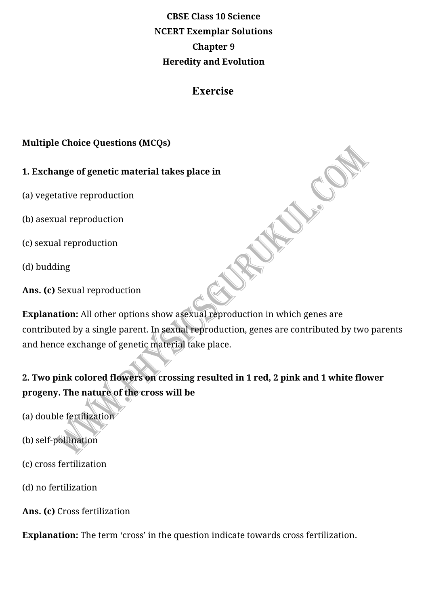# **CBSE Class 10 Science NCERT Exemplar Solutions Chapter 9 Heredity and Evolution**

## **Exercise**

Just Cole

### **Multiple Choice Questions (MCQs)**

### **1. Exchange of genetic material takes place in**

- (a) vegetative reproduction
- (b) asexual reproduction
- (c) sexual reproduction
- (d) budding
- Ans. (c) Sexual reproduction

**Explanation:** All other options show asexual reproduction in which genes are contributed by a single parent. In sexual reproduction, genes are contributed by two parents and hence exchange of genetic material take place.

# 2. Two pink colored flowers on crossing resulted in 1 red, 2 pink and 1 white flower progeny. The nature of the cross will be

- (a) double fertilization
- (b) self-pollination
- (c) cross fertilization
- (d) no fertilization
- Ans. (c) Cross fertilization

**Explanation:** The term 'cross' in the question indicate towards cross fertilization.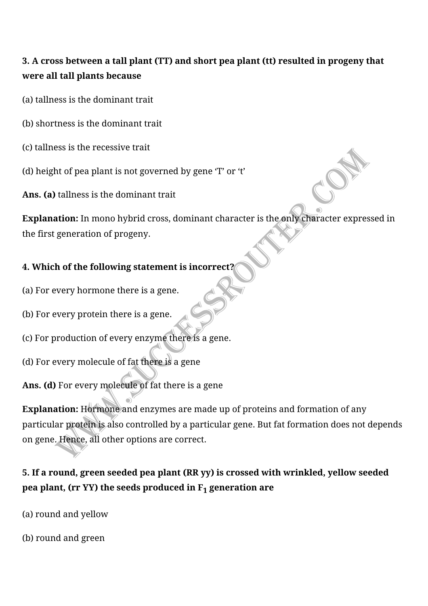## **3. A cross between a tall plant (TT) and short pea plant (tt) resulted in progeny that were all tall plants because**

- (a) tallness is the dominant trait
- (b) shortness is the dominant trait
- (c) tallness is the recessive trait
- (d) height of pea plant is not governed by gene  $T'$  or  $T'$
- **Ans.** (a) tallness is the dominant trait

**Explanation:** In mono hybrid cross, dominant character is the only character expressed in the first generation of progeny.

## **4. Which of the following statement is incorrect?**

- (a) For every hormone there is a gene.
- (b) For every protein there is a gene.
- (c) For production of every enzyme there is a gene.
- (d) For every molecule of fat there is a gene
- Ans. (d) For every molecule of fat there is a gene

**Explanation:** Hormone and enzymes are made up of proteins and formation of any particular protein is also controlled by a particular gene. But fat formation does not depends on gene. Hence, all other options are correct.

## **5. If a round, green seeded pea plant (RR yy) is crossed with wrinkled, yellow seeded pea plant, (rr YY) the seeds produced in F<sub>1</sub> generation are**

- (a) round and yellow
- (b) round and green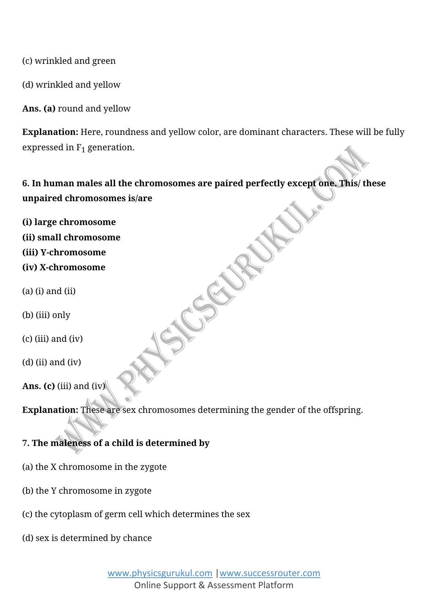(c) wrinkled and green

(d) wrinkled and yellow

Ans. (a) round and yellow

**Explanation:** Here, roundness and yellow color, are dominant characters. These will be fully expressed in  $F_1$  generation.

6. In human males all the chromosomes are paired perfectly except one. This/ these **unpaired chromosomes is/are**

**(i) large chromosome (ii) small chromosome (iii) Y-chromosome (iv) X-chromosome**  $(a)$  (i) and (ii)

(b) (iii) only

 $(c)$  (iii) and (iv)

 $(d)$  (ii) and (iv)

**Ans.** (c) (iii) and (iv)

**Explanation:** These are sex chromosomes determining the gender of the offspring.

### **7. The maleness of a child is determined by**

- (a) the X chromosome in the zygote
- (b) the Y chromosome in zygote
- (c) the cytoplasm of germ cell which determines the sex
- (d) sex is determined by chance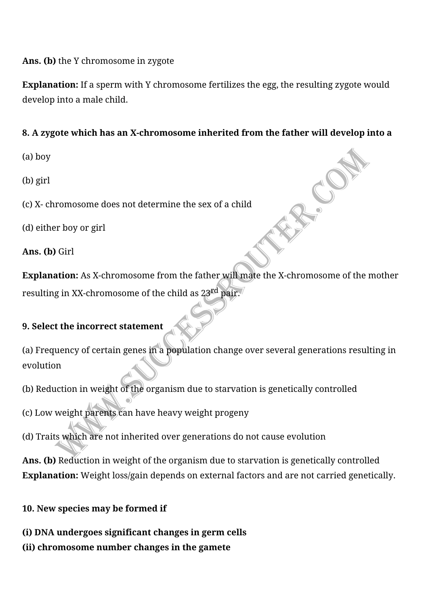### Ans. (b) the Y chromosome in zygote

**Explanation:** If a sperm with Y chromosome fertilizes the egg, the resulting zygote would develop into a male child.

### 8. A zygote which has an X-chromosome inherited from the father will develop into a

(a) boy

(b) girl

(c) X- chromosome does not determine the sex of a child

(d) either boy or girl

**Ans.** (**b**) Girl

**Explanation:** As X-chromosome from the father will mate the X-chromosome of the mother resulting in XX-chromosome of the child as  $23<sup>rd</sup>$  pair.

## **9. Select the incorrect statement**

(a) Frequency of certain genes in a population change over several generations resulting in evolution

(b) Reduction in weight of the organism due to starvation is genetically controlled

(c) Low weight parents can have heavy weight progeny

(d) Traits which are not inherited over generations do not cause evolution

Ans. (b) Reduction in weight of the organism due to starvation is genetically controlled **Explanation:** Weight loss/gain depends on external factors and are not carried genetically.

**10. New species may be formed if** 

**(i) DNA undergoes significant changes in germ cells**

**(ii) chromosome number changes in the gamete**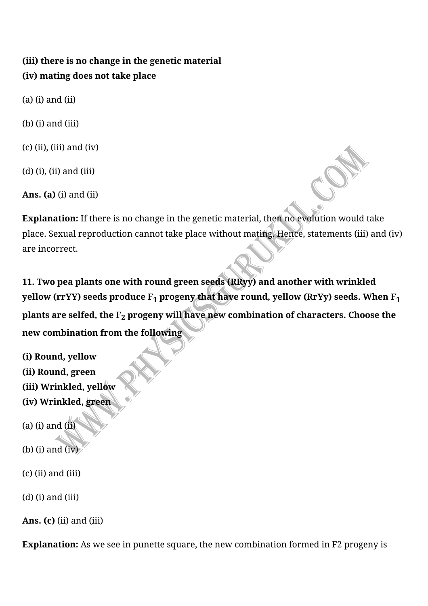## (iii) there is no change in the genetic material **(iv) mating does not take place**

 $(a)$  (i) and (ii)

 $(b)$  (i) and (iii)

 $(c)$  (ii), (iii) and (iv)

 $(d)$  (i), (ii) and (iii)

**Ans.** (a) (i) and (ii)

**Explanation:** If there is no change in the genetic material, then no evolution would take place. Sexual reproduction cannot take place without mating. Hence, statements (iii) and (iv) are incorrect.

**11. Two pea plants one with round green seeds (RRyy) and another with wrinkled** yellow (rrYY) seeds produce  $F_1$  progeny that have round, yellow (RrYy) seeds. When  $F_1$ plants are selfed, the F<sub>2</sub> progeny will have new combination of characters. Choose the **new combination from the following**

- **(i) Round, yellow (ii) Round, green (iii) Wrinkled, yellow (iv) Wrinkled, green**
- (a) (i) and  $(ii)$
- $(b)$  (i) and  $(iv)$
- $(c)$  (ii) and (iii)

 $(d)$  (i) and (iii)

**Ans.** (c) (ii) and (iii)

**Explanation:** As we see in punette square, the new combination formed in F2 progeny is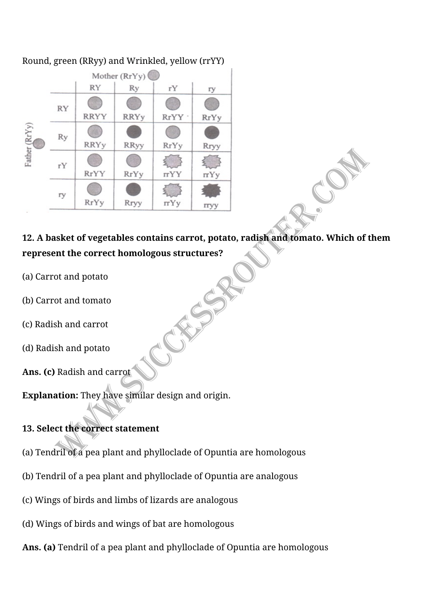

### Round, green (RRyy) and Wrinkled, yellow (rrYY)

## 12. A basket of vegetables contains carrot, potato, radish and tomato. Which of them represent the correct homologous structures?

- (a) Carrot and potato
- (b) Carrot and tomato
- (c) Radish and carrot
- (d) Radish and potato
- Ans. (c) Radish and carrot

**Explanation:** They have similar design and origin.

### **13. Select the correct statement**

- (a) Tendril of a pea plant and phylloclade of Opuntia are homologous
- (b) Tendril of a pea plant and phylloclade of Opuntia are analogous
- (c) Wings of birds and limbs of lizards are analogous
- (d) Wings of birds and wings of bat are homologous
- **Ans. (a)** Tendril of a pea plant and phylloclade of Opuntia are homologous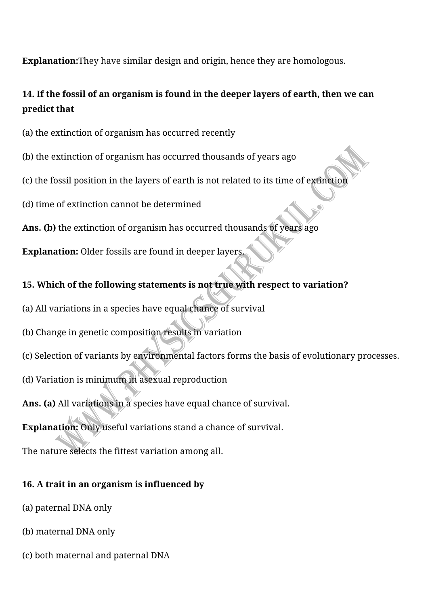**Explanation:**They have similar design and origin, hence they are homologous.

## 14. If the fossil of an organism is found in the deeper layers of earth, then we can **predict** that

- (a) the extinction of organism has occurred recently
- (b) the extinction of organism has occurred thousands of years ago
- (c) the fossil position in the layers of earth is not related to its time of extinction
- (d) time of extinction cannot be determined
- Ans. (b) the extinction of organism has occurred thousands of years ago
- **Explanation:** Older fossils are found in deeper layers.

## **15. Which of the following statements is not true with respect to variation?**

- (a) All variations in a species have equal chance of survival
- (b) Change in genetic composition results in variation
- (c) Selection of variants by environmental factors forms the basis of evolutionary processes.
- (d) Variation is minimum in asexual reproduction
- Ans. (a) All variations in a species have equal chance of survival.
- **Explanation:** Only useful variations stand a chance of survival.

The nature selects the fittest variation among all.

## **16. A trait in an organism is influenced by**

- (a) paternal DNA only
- (b) maternal DNA only
- (c) both maternal and paternal DNA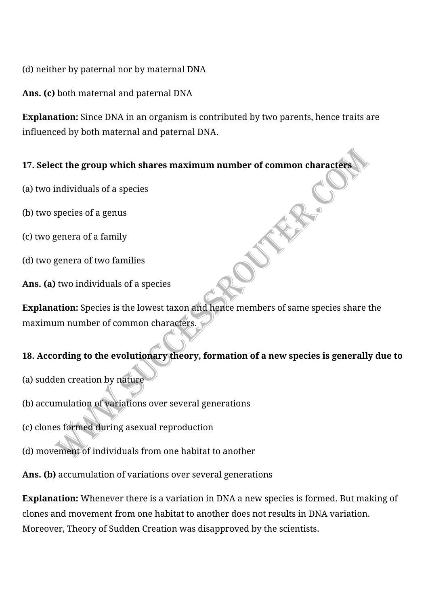(d) neither by paternal nor by maternal DNA

Ans. (c) both maternal and paternal DNA

**Explanation:** Since DNA in an organism is contributed by two parents, hence traits are influenced by both maternal and paternal DNA.

### 17. Select the group which shares maximum number of common characters

- (a) two individuals of a species
- (b) two species of a genus
- (c) two genera of a family
- (d) two genera of two families
- Ans. (a) two individuals of a species

**Explanation:** Species is the lowest taxon and hence members of same species share the maximum number of common characters.

### 18. According to the evolutionary theory, formation of a new species is generally due to

- (a) sudden creation by nature
- (b) accumulation of variations over several generations
- (c) clones formed during asexual reproduction
- (d) movement of individuals from one habitat to another
- Ans. (b) accumulation of variations over several generations

**Explanation:** Whenever there is a variation in DNA a new species is formed. But making of clones and movement from one habitat to another does not results in DNA variation. Moreover, Theory of Sudden Creation was disapproved by the scientists.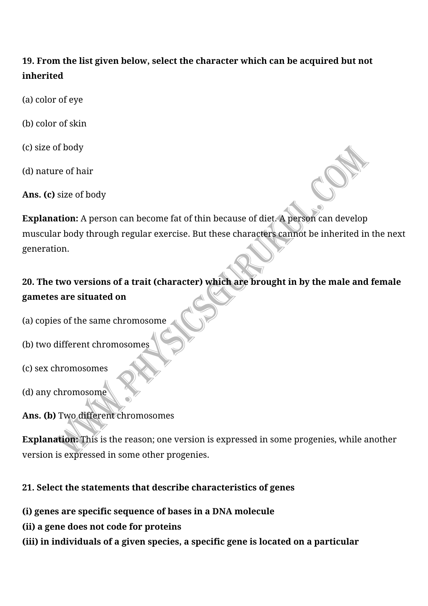## **19. From the list given below, select the character which can be acquired but not inherited**

- (a) color of eye
- (b) color of skin
- (c) size of body
- (d) nature of hair
- Ans. (c) size of body

**Explanation:** A person can become fat of thin because of diet. A person can develop muscular body through regular exercise. But these characters cannot be inherited in the next generation.

# 20. The two versions of a trait (character) which are brought in by the male and female **gametes are situated on**

- (a) copies of the same chromosome
- (b) two different chromosomes
- (c) sex chromosomes
- (d) any chromosome

## Ans. (b) Two different chromosomes

**Explanation:** This is the reason; one version is expressed in some progenies, while another version is expressed in some other progenies.

## **21. Select the statements that describe characteristics of genes**

- **(i) genes are specific sequence of bases in a DNA molecule**
- **(ii) a gene does not code for proteins**
- (iii) in individuals of a given species, a specific gene is located on a particular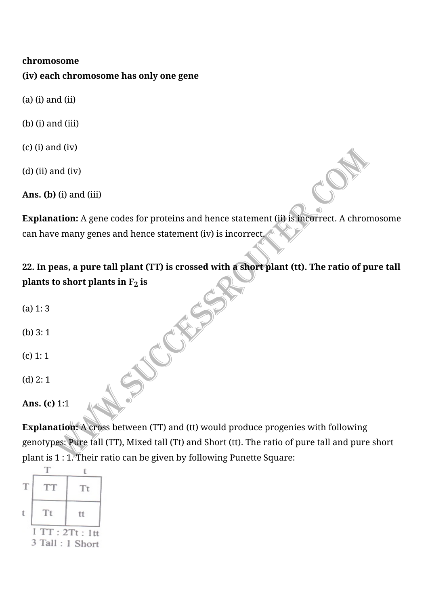#### **chromosome**

**(iv) each chromosome has only one gene**

- $(a)$  (i) and (ii)
- $(b)$  (i) and (iii)
- $(c)$  (i) and (iv)
- $(d)$  (ii) and (iv)

**Ans. (b)** (i) and (iii)

**Explanation:** A gene codes for proteins and hence statement (ii) is incorrect. A chromosome can have many genes and hence statement (iv) is incorrect.

# **22. In peas, a pure tall plant (TT) is crossed with a short plant (tt). The ratio of pure tall plants to short plants in**  $F_2$  **is**

- $(a) 1: 3$
- (b)  $3:1$
- $(c)$  1: 1
- $(d)$  2: 1
- **Ans.** (c) 1:1

**Explanation:** A cross between (TT) and (tt) would produce progenies with following genotypes: Pure tall (TT), Mixed tall (Tt) and Short (tt). The ratio of pure tall and pure short plant is  $1:1.$  Their ratio can be given by following Punette Square:

| T                              | <b>TT</b> | Tt |  |  |
|--------------------------------|-----------|----|--|--|
|                                | Tt        | tt |  |  |
| 1TT:2Tt:1tt<br>3 Tall: 1 Short |           |    |  |  |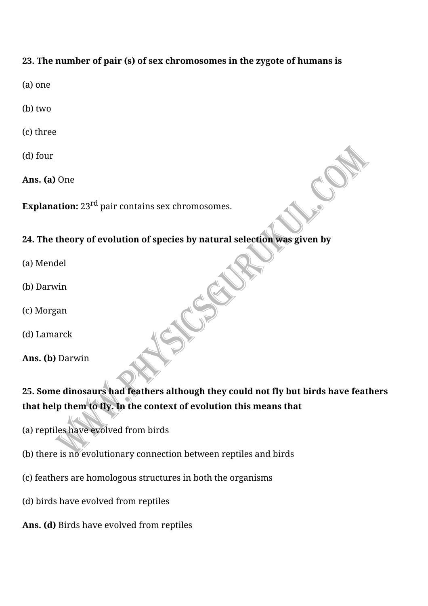### **23. The number of pair (s) of sex chromosomes in the zygote of humans is**

- (a) one
- (b) two
- (c) three
- (d) four
- **Ans.** (a) One

**Explanation:** 23<sup>rd</sup> pair contains sex chromosomes.

#### 24. The theory of evolution of species by natural selection was given by

- (a) Mendel
- (b) Darwin
- (c) Morgan
- (d) Lamarck
- Ans. (b) Darwin

# **25. Some dinosaurs had feathers although they could not fly but birds have feathers** that help them to fly. In the context of evolution this means that

- (a) reptiles have evolved from birds
- (b) there is no evolutionary connection between reptiles and birds
- (c) feathers are homologous structures in both the organisms
- (d) birds have evolved from reptiles
- Ans. (d) Birds have evolved from reptiles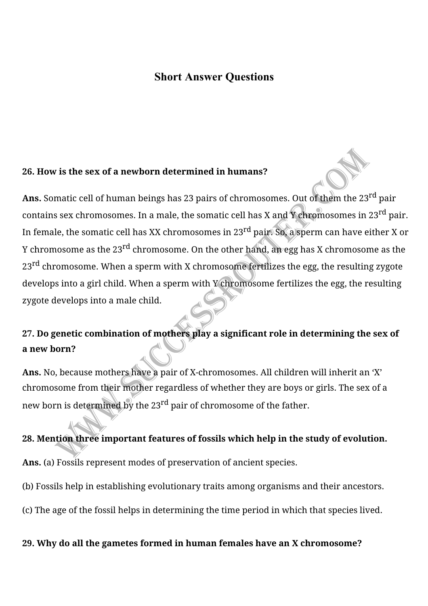### **Short Answer Questions**

#### **26. How is the sex of a newborn determined in humans?**

Ans. Somatic cell of human beings has 23 pairs of chromosomes. Out of them the 23<sup>rd</sup> pair contains sex chromosomes. In a male, the somatic cell has X and Y chromosomes in 23<sup>rd</sup> pair. In female, the somatic cell has XX chromosomes in 23 $^{rd}$  pair. So, a sperm can have either X or Y chromosome as the  $23^{\text{rd}}$  chromosome. On the other hand, an egg has X chromosome as the  $23^{\text{rd}}$  chromosome. When a sperm with X chromosome fertilizes the egg, the resulting zygote develops into a girl child. When a sperm with Y chromosome fertilizes the egg, the resulting zygote develops into a male child.

# 27. Do genetic combination of mothers play a significant role in determining the sex of **a new born?**

Ans. No, because mothers have a pair of X-chromosomes. All children will inherit an 'X' chromosome from their mother regardless of whether they are boys or girls. The sex of a new born is determined by the  $23<sup>rd</sup>$  pair of chromosome of the father.

#### 28. Mention three important features of fossils which help in the study of evolution.

Ans. (a) Fossils represent modes of preservation of ancient species.

(b) Fossils help in establishing evolutionary traits among organisms and their ancestors.

(c) The age of the fossil helps in determining the time period in which that species lived.

#### 29. Why do all the gametes formed in human females have an X chromosome?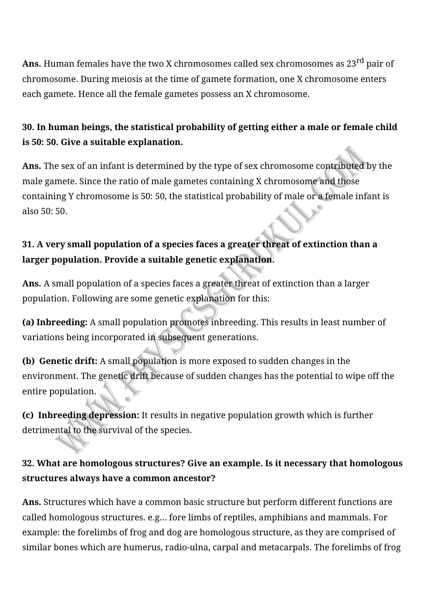**Ans.** Human females have the two X chromosomes called sex chromosomes as 23<sup>rd</sup> pair of chromosome. During meiosis at the time of gamete formation, one X chromosome enters each gamete. Hence all the female gametes possess an X chromosome.

## **30. In human beings, the statistical probability of getting either a male or female child is 50: 50. Give a suitable explanation.**

**Ans.** The sex of an infant is determined by the type of sex chromosome contributed by the male gamete. Since the ratio of male gametes containing X chromosome and those containing Y chromosome is 50: 50, the statistical probability of male or a female infant is also 50: 50.

## **31.** A very small population of a species faces a greater threat of extinction than a larger population. Provide a suitable genetic explanation.

Ans. A small population of a species faces a greater threat of extinction than a larger population. Following are some genetic explanation for this:

**(a) Inbreeding:** A small population promotes inbreeding. This results in least number of variations being incorporated in subsequent generations.

**(b) Genetic drift:** A small population is more exposed to sudden changes in the environment. The genetic drift because of sudden changes has the potential to wipe off the entire population.

**(c) Inbreeding depression:** It results in negative population growth which is further detrimental to the survival of the species.

## **32. What are homologous structures? Give an example. Is it necessary that homologous** structures always have a common ancestor?

Ans. Structures which have a common basic structure but perform different functions are called homologous structures. e.g... fore limbs of reptiles, amphibians and mammals. For example: the forelimbs of frog and dog are homologous structure, as they are comprised of similar bones which are humerus, radio-ulna, carpal and metacarpals. The forelimbs of frog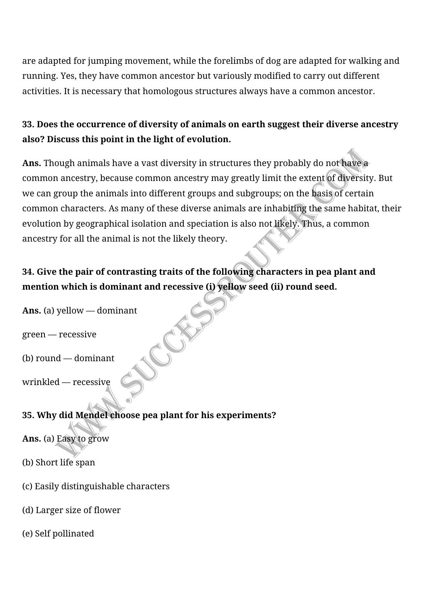are adapted for jumping movement, while the forelimbs of dog are adapted for walking and running. Yes, they have common ancestor but variously modified to carry out different activities. It is necessary that homologous structures always have a common ancestor.

## **33. Does the occurrence of diversity of animals on earth suggest their diverse ancestry** also? Discuss this point in the light of evolution.

**Ans.** Though animals have a vast diversity in structures they probably do not have a common ancestry, because common ancestry may greatly limit the extent of diversity. But we can group the animals into different groups and subgroups; on the basis of certain common characters. As many of these diverse animals are inhabiting the same habitat, their evolution by geographical isolation and speciation is also not likely. Thus, a common ancestry for all the animal is not the likely theory.

# **34. Give the pair of contrasting traits of the following characters in pea plant and** mention which is dominant and recessive (i) yellow seed (ii) round seed.

Ans. (a) yellow — dominant

green — recessive

 $(b)$  round  $-$  dominant

wrinkled — recessive

### **35. Why did Mendel choose pea plant for his experiments?**

Ans. (a) Easy to grow

- (b) Short life span
- (c) Easily distinguishable characters
- (d) Larger size of flower
- (e) Self pollinated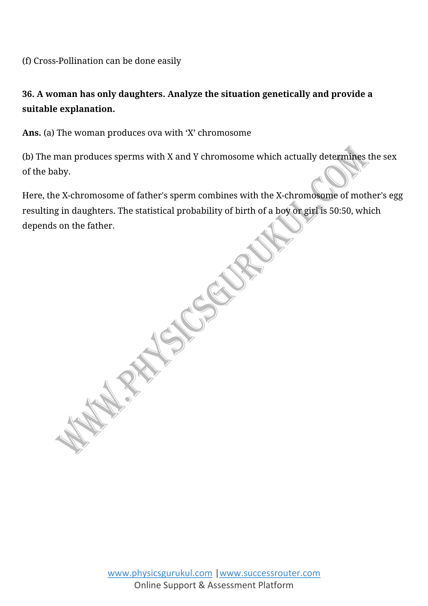(f) Cross-Pollination can be done easily

## **36. A woman has only daughters. Analyze the situation genetically and provide a** suitable explanation.

Ans. (a) The woman produces ova with 'X' chromosome

(b) The man produces sperms with X and Y chromosome which actually determines the sex of the baby.

Here, the X-chromosome of father's sperm combines with the X-chromosome of mother's egg resulting in daughters. The statistical probability of birth of a boy or girl is 50:50, which depends on the father.

**REAL PROPERTY** 

www.physicsgurukul.com |www.successrouter.com Online Support & Assessment Platform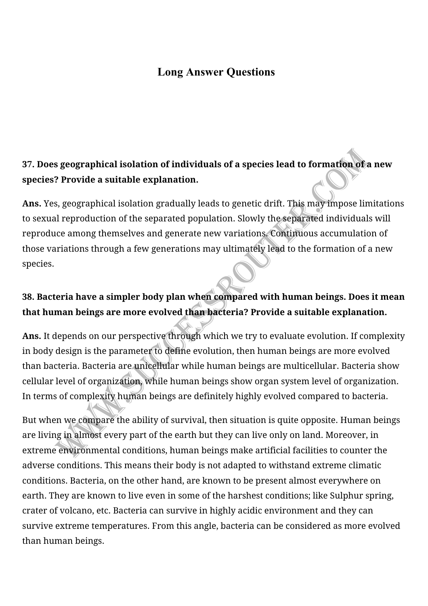## **Long Answer Questions**

# **37.** Does geographical isolation of individuals of a species lead to formation of a new species? Provide a suitable explanation.

Ans. Yes, geographical isolation gradually leads to genetic drift. This may impose limitations to sexual reproduction of the separated population. Slowly the separated individuals will reproduce among themselves and generate new variations. Continuous accumulation of those variations through a few generations may ultimately lead to the formation of a new species.

## **38. Bacteria have a simpler body plan when compared with human beings. Does it mean** that human beings are more evolved than bacteria? Provide a suitable explanation.

Ans. It depends on our perspective through which we try to evaluate evolution. If complexity in body design is the parameter to define evolution, then human beings are more evolved than bacteria. Bacteria are unicellular while human beings are multicellular. Bacteria show cellular level of organization, while human beings show organ system level of organization. In terms of complexity human beings are definitely highly evolved compared to bacteria.

But when we compare the ability of survival, then situation is quite opposite. Human beings are living in almost every part of the earth but they can live only on land. Moreover, in extreme environmental conditions, human beings make artificial facilities to counter the adverse conditions. This means their body is not adapted to withstand extreme climatic conditions. Bacteria, on the other hand, are known to be present almost everywhere on earth. They are known to live even in some of the harshest conditions; like Sulphur spring, crater of volcano, etc. Bacteria can survive in highly acidic environment and they can survive extreme temperatures. From this angle, bacteria can be considered as more evolved than human beings.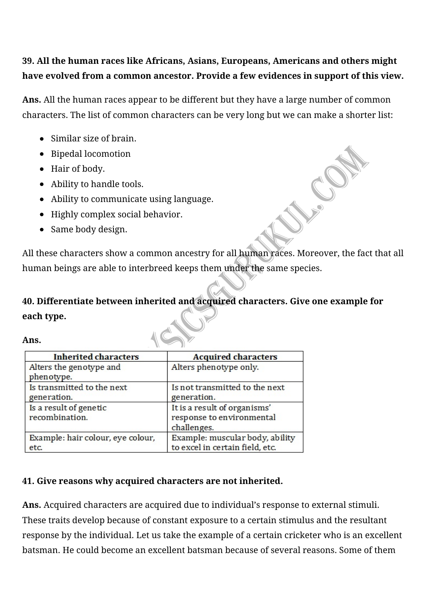## **39. All the human races like Africans, Asians, Europeans, Americans and others might** have evolved from a common ancestor. Provide a few evidences in support of this view.

**Ans.** All the human races appear to be different but they have a large number of common characters. The list of common characters can be very long but we can make a shorter list:

- Similar size of brain.
- Bipedal locomotion
- Hair of body.
- Ability to handle tools.
- Ability to communicate using language.
- Highly complex social behavior.
- Same body design.

All these characters show a common ancestry for all human races. Moreover, the fact that all human beings are able to interbreed keeps them under the same species.

# **40. Differentiate between inherited and acquired characters. Give one example for each type.**

### **Ans.**

| <b>Inherited characters</b>               | <b>Acquired characters</b>                                               |  |  |
|-------------------------------------------|--------------------------------------------------------------------------|--|--|
| Alters the genotype and<br>phenotype.     | Alters phenotype only.                                                   |  |  |
| Is transmitted to the next<br>generation. | Is not transmitted to the next<br>generation.                            |  |  |
| Is a result of genetic<br>recombination.  | It is a result of organisms'<br>response to environmental<br>challenges. |  |  |
| Example: hair colour, eye colour,<br>etc. | Example: muscular body, ability<br>to excel in certain field, etc.       |  |  |

### **41. Give reasons why acquired characters are not inherited.**

Ans. Acquired characters are acquired due to individual's response to external stimuli. These traits develop because of constant exposure to a certain stimulus and the resultant response by the individual. Let us take the example of a certain cricketer who is an excellent batsman. He could become an excellent batsman because of several reasons. Some of them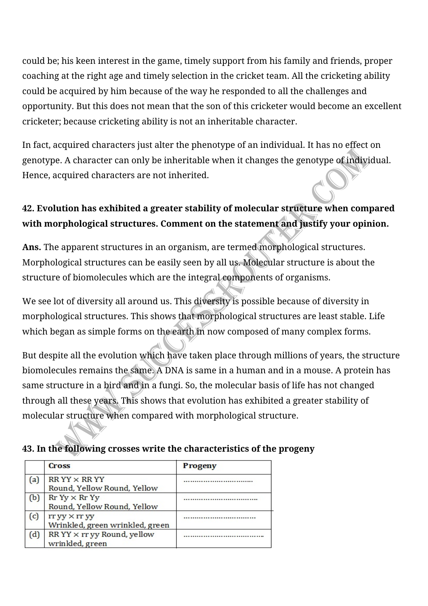could be; his keen interest in the game, timely support from his family and friends, proper coaching at the right age and timely selection in the cricket team. All the cricketing ability could be acquired by him because of the way he responded to all the challenges and opportunity. But this does not mean that the son of this cricketer would become an excellent cricketer; because cricketing ability is not an inheritable character.

In fact, acquired characters just alter the phenotype of an individual. It has no effect on genotype. A character can only be inheritable when it changes the genotype of individual. Hence, acquired characters are not inherited.

## **42. Evolution has exhibited a greater stability of molecular structure when compared** with morphological structures. Comment on the statement and justify your opinion.

Ans. The apparent structures in an organism, are termed morphological structures. Morphological structures can be easily seen by all us. Molecular structure is about the structure of biomolecules which are the integral components of organisms.

We see lot of diversity all around us. This diversity is possible because of diversity in morphological structures. This shows that morphological structures are least stable. Life which began as simple forms on the earth in now composed of many complex forms.

But despite all the evolution which have taken place through millions of years, the structure biomolecules remains the same. A DNA is same in a human and in a mouse. A protein has same structure in a bird and in a fungi. So, the molecular basis of life has not changed through all these years. This shows that evolution has exhibited a greater stability of molecular structure when compared with morphological structure.

### **43. In the following crosses write the characteristics of the progeny**

|     | <b>Cross</b>                         | <b>Progeny</b> |
|-----|--------------------------------------|----------------|
| (a) | $RRYY \times RRYY$                   |                |
|     | Round, Yellow Round, Yellow          |                |
| (b) | $RrYy \times RrYy$                   |                |
|     | Round, Yellow Round, Yellow          |                |
| (c) | rr yy × rr yy                        |                |
|     | Wrinkled, green wrinkled, green      |                |
| (d) | $RR$ YY $\times$ rr yy Round, yellow |                |
|     | wrinkled, green                      |                |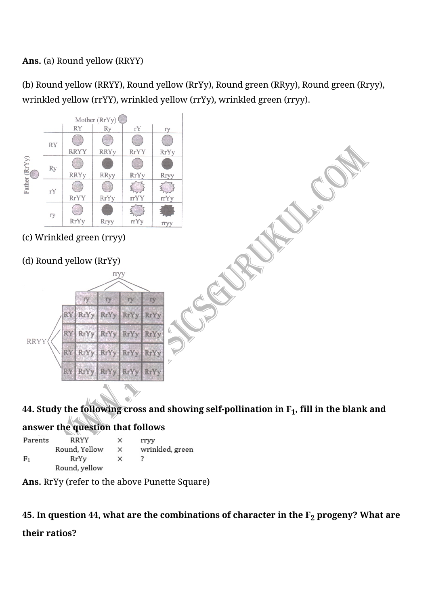### Ans. (a) Round yellow (RRYY)

(b) Round yellow (RRYY), Round yellow (RrYy), Round green (RRyy), Round green (Rryy), wrinkled yellow (rrYY), wrinkled yellow (rrYy), wrinkled green (rryy).



# 44. Study the following cross and showing self-pollination in  $F_1$ , fill in the blank and

### answer the question that follows

| Parents        | RRYY          | ×        | rrvy            |
|----------------|---------------|----------|-----------------|
|                | Round, Yellow | $\times$ | wrinkled, green |
| F <sub>1</sub> | RrYv          | $\times$ |                 |
|                | Round, yellow |          |                 |

Ans. RrYy (refer to the above Punette Square)

### 45. In question 44, what are the combinations of character in the  $F_2$  progeny? What are

**their ratios?**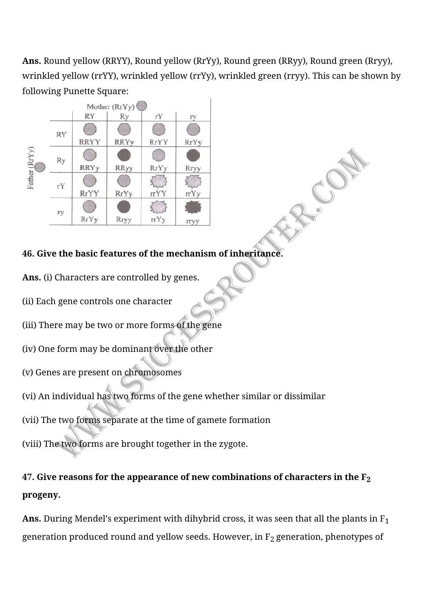Ans. Round yellow (RRYY), Round yellow (RrYy), Round green (RRyy), Round green (Rryy), wrinkled yellow (rrYY), wrinkled yellow (rrYy), wrinkled green (rryy). This can be shown by following Punette Square:



### **46. Give the basic features of the mechanism of inheritance.**

Ans. (i) Characters are controlled by genes.

(ii) Each gene controls one character

(iii) There may be two or more forms of the gene

(iv) One form may be dominant over the other

(v) Genes are present on chromosomes

(vi) An individual has two forms of the gene whether similar or dissimilar

(vii) The two forms separate at the time of gamete formation

(viii) The two forms are brought together in the zygote.

# 47. Give reasons for the appearance of new combinations of characters in the  $F_2$ **progeny.**

**Ans.** During Mendel's experiment with dihybrid cross, it was seen that all the plants in  $F_1$ generation produced round and yellow seeds. However, in  $F_2$  generation, phenotypes of